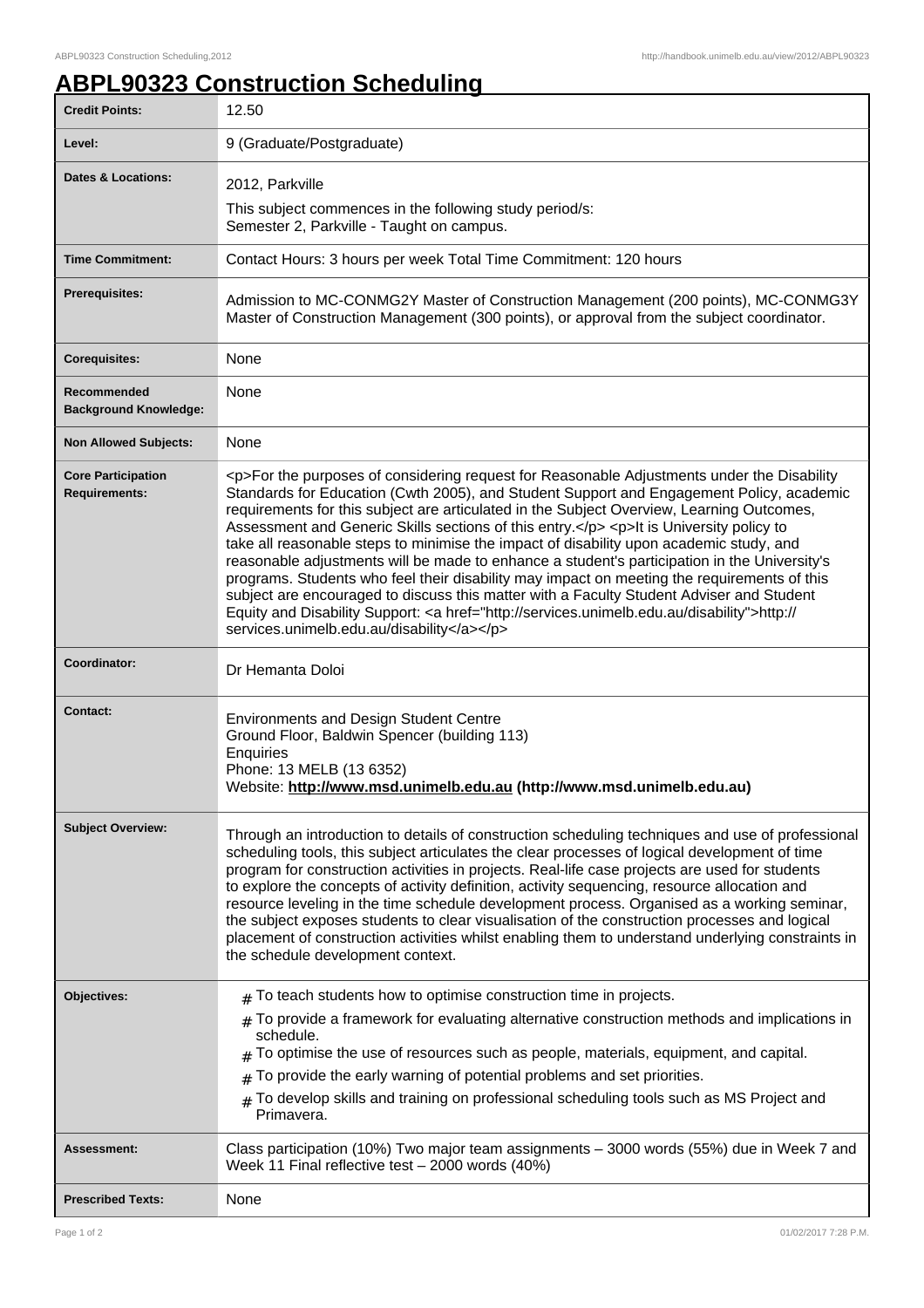## **ABPL90323 Construction Scheduling**

| <b>Credit Points:</b>                             | 12.50                                                                                                                                                                                                                                                                                                                                                                                                                                                                                                                                                                                                                                                                                                                                                                                                                                                                                                                        |
|---------------------------------------------------|------------------------------------------------------------------------------------------------------------------------------------------------------------------------------------------------------------------------------------------------------------------------------------------------------------------------------------------------------------------------------------------------------------------------------------------------------------------------------------------------------------------------------------------------------------------------------------------------------------------------------------------------------------------------------------------------------------------------------------------------------------------------------------------------------------------------------------------------------------------------------------------------------------------------------|
| Level:                                            | 9 (Graduate/Postgraduate)                                                                                                                                                                                                                                                                                                                                                                                                                                                                                                                                                                                                                                                                                                                                                                                                                                                                                                    |
| <b>Dates &amp; Locations:</b>                     | 2012, Parkville                                                                                                                                                                                                                                                                                                                                                                                                                                                                                                                                                                                                                                                                                                                                                                                                                                                                                                              |
|                                                   | This subject commences in the following study period/s:<br>Semester 2, Parkville - Taught on campus.                                                                                                                                                                                                                                                                                                                                                                                                                                                                                                                                                                                                                                                                                                                                                                                                                         |
| <b>Time Commitment:</b>                           | Contact Hours: 3 hours per week Total Time Commitment: 120 hours                                                                                                                                                                                                                                                                                                                                                                                                                                                                                                                                                                                                                                                                                                                                                                                                                                                             |
| <b>Prerequisites:</b>                             | Admission to MC-CONMG2Y Master of Construction Management (200 points), MC-CONMG3Y<br>Master of Construction Management (300 points), or approval from the subject coordinator.                                                                                                                                                                                                                                                                                                                                                                                                                                                                                                                                                                                                                                                                                                                                              |
| <b>Corequisites:</b>                              | None                                                                                                                                                                                                                                                                                                                                                                                                                                                                                                                                                                                                                                                                                                                                                                                                                                                                                                                         |
| Recommended<br><b>Background Knowledge:</b>       | None                                                                                                                                                                                                                                                                                                                                                                                                                                                                                                                                                                                                                                                                                                                                                                                                                                                                                                                         |
| <b>Non Allowed Subjects:</b>                      | None                                                                                                                                                                                                                                                                                                                                                                                                                                                                                                                                                                                                                                                                                                                                                                                                                                                                                                                         |
| <b>Core Participation</b><br><b>Requirements:</b> | <p>For the purposes of considering request for Reasonable Adjustments under the Disability<br/>Standards for Education (Cwth 2005), and Student Support and Engagement Policy, academic<br/>requirements for this subject are articulated in the Subject Overview, Learning Outcomes,<br/>Assessment and Generic Skills sections of this entry.</p> <p>lt is University policy to<br/>take all reasonable steps to minimise the impact of disability upon academic study, and<br/>reasonable adjustments will be made to enhance a student's participation in the University's<br/>programs. Students who feel their disability may impact on meeting the requirements of this<br/>subject are encouraged to discuss this matter with a Faculty Student Adviser and Student<br/>Equity and Disability Support: &lt; a href="http://services.unimelb.edu.au/disability"&gt;http://<br/>services.unimelb.edu.au/disability</p> |
| Coordinator:                                      | Dr Hemanta Doloi                                                                                                                                                                                                                                                                                                                                                                                                                                                                                                                                                                                                                                                                                                                                                                                                                                                                                                             |
| <b>Contact:</b>                                   | <b>Environments and Design Student Centre</b><br>Ground Floor, Baldwin Spencer (building 113)<br><b>Enquiries</b><br>Phone: 13 MELB (13 6352)<br>Website: http://www.msd.unimelb.edu.au (http://www.msd.unimelb.edu.au)                                                                                                                                                                                                                                                                                                                                                                                                                                                                                                                                                                                                                                                                                                      |
| <b>Subject Overview:</b>                          | Through an introduction to details of construction scheduling techniques and use of professional<br>scheduling tools, this subject articulates the clear processes of logical development of time<br>program for construction activities in projects. Real-life case projects are used for students<br>to explore the concepts of activity definition, activity sequencing, resource allocation and<br>resource leveling in the time schedule development process. Organised as a working seminar,<br>the subject exposes students to clear visualisation of the construction processes and logical<br>placement of construction activities whilst enabling them to understand underlying constraints in<br>the schedule development context.                                                                                                                                                                                |
| Objectives:                                       | $#$ To teach students how to optimise construction time in projects.<br>$#$ To provide a framework for evaluating alternative construction methods and implications in<br>schedule.<br>To optimise the use of resources such as people, materials, equipment, and capital.<br>To provide the early warning of potential problems and set priorities.<br>To develop skills and training on professional scheduling tools such as MS Project and<br>#<br>Primavera.                                                                                                                                                                                                                                                                                                                                                                                                                                                            |
| Assessment:                                       | Class participation (10%) Two major team assignments - 3000 words (55%) due in Week 7 and<br>Week 11 Final reflective test - 2000 words (40%)                                                                                                                                                                                                                                                                                                                                                                                                                                                                                                                                                                                                                                                                                                                                                                                |
| <b>Prescribed Texts:</b>                          | None                                                                                                                                                                                                                                                                                                                                                                                                                                                                                                                                                                                                                                                                                                                                                                                                                                                                                                                         |